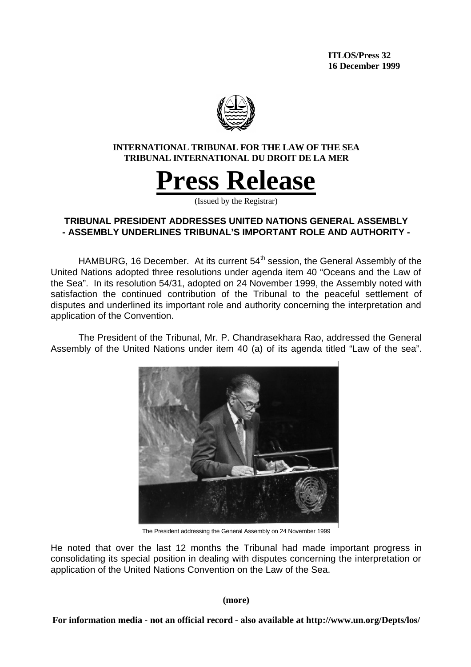**ITLOS/Press 32 16 December 1999**



# **INTERNATIONAL TRIBUNAL FOR THE LAW OF THE SEA TRIBUNAL INTERNATIONAL DU DROIT DE LA MER**



(Issued by the Registrar)

# **TRIBUNAL PRESIDENT ADDRESSES UNITED NATIONS GENERAL ASSEMBLY - ASSEMBLY UNDERLINES TRIBUNAL'S IMPORTANT ROLE AND AUTHORITY -**

HAMBURG, 16 December. At its current  $54<sup>th</sup>$  session, the General Assembly of the United Nations adopted three resolutions under agenda item 40 "Oceans and the Law of the Sea". In its resolution 54/31, adopted on 24 November 1999, the Assembly noted with satisfaction the continued contribution of the Tribunal to the peaceful settlement of disputes and underlined its important role and authority concerning the interpretation and application of the Convention.

The President of the Tribunal, Mr. P. Chandrasekhara Rao, addressed the General Assembly of the United Nations under item 40 (a) of its agenda titled "Law of the sea".



The President addressing the General Assembly on 24 November 1999

He noted that over the last 12 months the Tribunal had made important progress in consolidating its special position in dealing with disputes concerning the interpretation or application of the United Nations Convention on the Law of the Sea.

**(more)**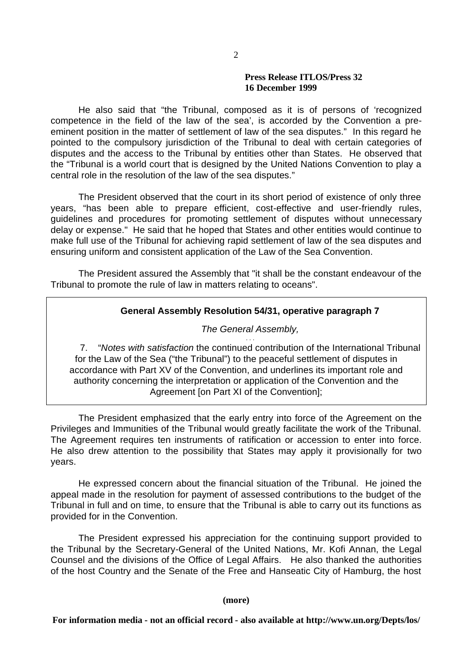He also said that "the Tribunal, composed as it is of persons of 'recognized competence in the field of the law of the sea', is accorded by the Convention a preeminent position in the matter of settlement of law of the sea disputes." In this regard he pointed to the compulsory jurisdiction of the Tribunal to deal with certain categories of disputes and the access to the Tribunal by entities other than States. He observed that the "Tribunal is a world court that is designed by the United Nations Convention to play a central role in the resolution of the law of the sea disputes."

The President observed that the court in its short period of existence of only three years, "has been able to prepare efficient, cost-effective and user-friendly rules, guidelines and procedures for promoting settlement of disputes without unnecessary delay or expense." He said that he hoped that States and other entities would continue to make full use of the Tribunal for achieving rapid settlement of law of the sea disputes and ensuring uniform and consistent application of the Law of the Sea Convention.

The President assured the Assembly that "it shall be the constant endeavour of the Tribunal to promote the rule of law in matters relating to oceans".

# **General Assembly Resolution 54/31, operative paragraph 7**

*The General Assembly,*  . . .

7. "*Notes with satisfaction* the continued contribution of the International Tribunal for the Law of the Sea ("the Tribunal") to the peaceful settlement of disputes in accordance with Part XV of the Convention, and underlines its important role and authority concerning the interpretation or application of the Convention and the Agreement [on Part XI of the Convention];

The President emphasized that the early entry into force of the Agreement on the Privileges and Immunities of the Tribunal would greatly facilitate the work of the Tribunal. The Agreement requires ten instruments of ratification or accession to enter into force. He also drew attention to the possibility that States may apply it provisionally for two years.

He expressed concern about the financial situation of the Tribunal. He joined the appeal made in the resolution for payment of assessed contributions to the budget of the Tribunal in full and on time, to ensure that the Tribunal is able to carry out its functions as provided for in the Convention.

The President expressed his appreciation for the continuing support provided to the Tribunal by the Secretary-General of the United Nations, Mr. Kofi Annan, the Legal Counsel and the divisions of the Office of Legal Affairs. He also thanked the authorities of the host Country and the Senate of the Free and Hanseatic City of Hamburg, the host

#### **(more)**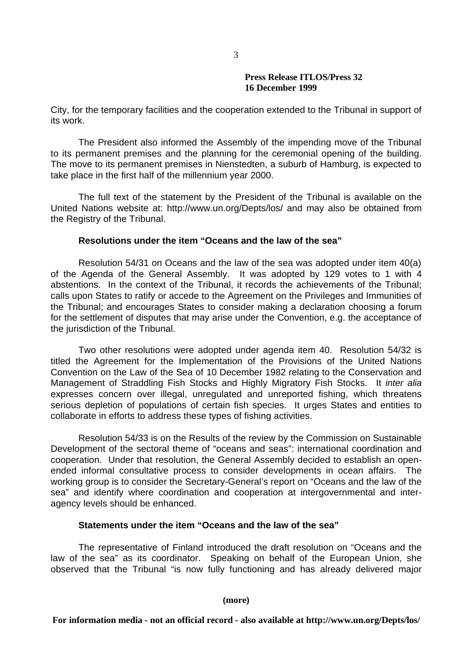City, for the temporary facilities and the cooperation extended to the Tribunal in support of its work.

The President also informed the Assembly of the impending move of the Tribunal to its permanent premises and the planning for the ceremonial opening of the building. The move to its permanent premises in Nienstedten, a suburb of Hamburg, is expected to take place in the first half of the millennium year 2000.

The full text of the statement by the President of the Tribunal is available on the United Nations website at: http://www.un.org/Depts/los/ and may also be obtained from the Registry of the Tribunal.

# **Resolutions under the item "Oceans and the law of the sea"**

Resolution 54/31 on Oceans and the law of the sea was adopted under item 40(a) of the Agenda of the General Assembly. It was adopted by 129 votes to 1 with 4 abstentions. In the context of the Tribunal, it records the achievements of the Tribunal; calls upon States to ratify or accede to the Agreement on the Privileges and Immunities of the Tribunal; and encourages States to consider making a declaration choosing a forum for the settlement of disputes that may arise under the Convention, e.g. the acceptance of the jurisdiction of the Tribunal.

Two other resolutions were adopted under agenda item 40. Resolution 54/32 is titled the Agreement for the Implementation of the Provisions of the United Nations Convention on the Law of the Sea of 10 December 1982 relating to the Conservation and Management of Straddling Fish Stocks and Highly Migratory Fish Stocks. It *inter alia* expresses concern over illegal, unregulated and unreported fishing, which threatens serious depletion of populations of certain fish species. It urges States and entities to collaborate in efforts to address these types of fishing activities.

Resolution 54/33 is on the Results of the review by the Commission on Sustainable Development of the sectoral theme of "oceans and seas": international coordination and cooperation. Under that resolution, the General Assembly decided to establish an openended informal consultative process to consider developments in ocean affairs. The working group is to consider the Secretary-General's report on "Oceans and the law of the sea" and identify where coordination and cooperation at intergovernmental and interagency levels should be enhanced.

# **Statements under the item "Oceans and the law of the sea"**

The representative of Finland introduced the draft resolution on "Oceans and the law of the sea" as its coordinator. Speaking on behalf of the European Union, she observed that the Tribunal "is now fully functioning and has already delivered major

**(more)**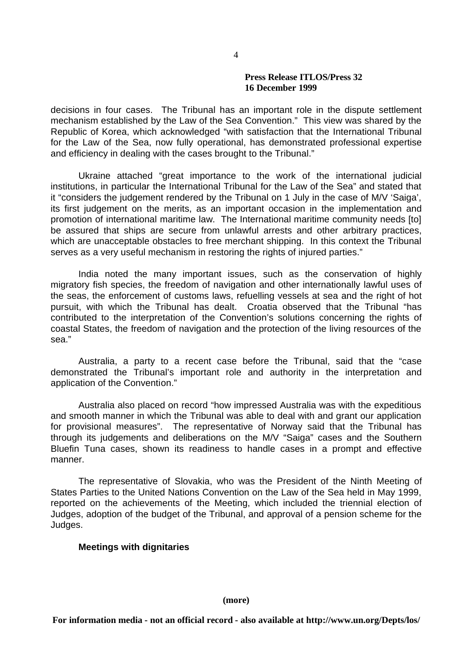decisions in four cases. The Tribunal has an important role in the dispute settlement mechanism established by the Law of the Sea Convention." This view was shared by the Republic of Korea, which acknowledged "with satisfaction that the International Tribunal for the Law of the Sea, now fully operational, has demonstrated professional expertise and efficiency in dealing with the cases brought to the Tribunal."

Ukraine attached "great importance to the work of the international judicial institutions, in particular the International Tribunal for the Law of the Sea" and stated that it "considers the judgement rendered by the Tribunal on 1 July in the case of M/V 'Saiga', its first judgement on the merits, as an important occasion in the implementation and promotion of international maritime law. The International maritime community needs [to] be assured that ships are secure from unlawful arrests and other arbitrary practices, which are unacceptable obstacles to free merchant shipping. In this context the Tribunal serves as a very useful mechanism in restoring the rights of injured parties."

India noted the many important issues, such as the conservation of highly migratory fish species, the freedom of navigation and other internationally lawful uses of the seas, the enforcement of customs laws, refuelling vessels at sea and the right of hot pursuit, with which the Tribunal has dealt. Croatia observed that the Tribunal "has contributed to the interpretation of the Convention's solutions concerning the rights of coastal States, the freedom of navigation and the protection of the living resources of the sea."

Australia, a party to a recent case before the Tribunal, said that the "case demonstrated the Tribunal's important role and authority in the interpretation and application of the Convention."

Australia also placed on record "how impressed Australia was with the expeditious and smooth manner in which the Tribunal was able to deal with and grant our application for provisional measures". The representative of Norway said that the Tribunal has through its judgements and deliberations on the M/V "Saiga" cases and the Southern Bluefin Tuna cases, shown its readiness to handle cases in a prompt and effective manner.

The representative of Slovakia, who was the President of the Ninth Meeting of States Parties to the United Nations Convention on the Law of the Sea held in May 1999, reported on the achievements of the Meeting, which included the triennial election of Judges, adoption of the budget of the Tribunal, and approval of a pension scheme for the Judges.

#### **Meetings with dignitaries**

#### **(more)**